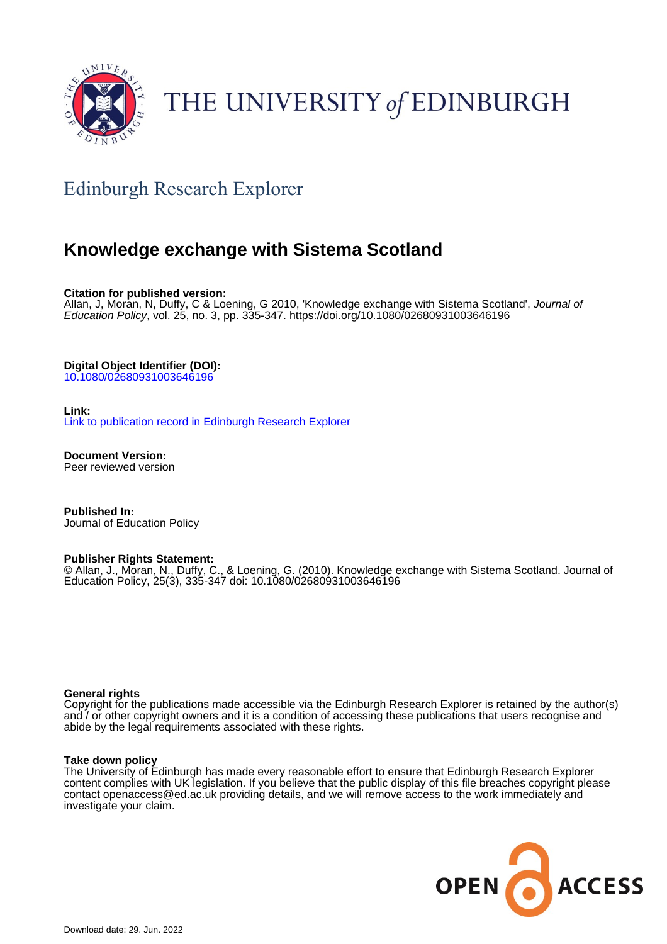

# THE UNIVERSITY of EDINBURGH

# Edinburgh Research Explorer

### **Knowledge exchange with Sistema Scotland**

**Citation for published version:**

Allan, J, Moran, N, Duffy, C & Loening, G 2010, 'Knowledge exchange with Sistema Scotland', Journal of Education Policy, vol. 25, no. 3, pp. 335-347.<https://doi.org/10.1080/02680931003646196>

**Digital Object Identifier (DOI):**

[10.1080/02680931003646196](https://doi.org/10.1080/02680931003646196)

**Link:**

[Link to publication record in Edinburgh Research Explorer](https://www.research.ed.ac.uk/en/publications/ccedba9a-8e67-4ac8-b580-9ed9bdf179fe)

**Document Version:** Peer reviewed version

**Published In:** Journal of Education Policy

#### **Publisher Rights Statement:**

© Allan, J., Moran, N., Duffy, C., & Loening, G. (2010). Knowledge exchange with Sistema Scotland. Journal of Education Policy, 25(3), 335-347 doi: 10.1080/02680931003646196

#### **General rights**

Copyright for the publications made accessible via the Edinburgh Research Explorer is retained by the author(s) and / or other copyright owners and it is a condition of accessing these publications that users recognise and abide by the legal requirements associated with these rights.

#### **Take down policy**

The University of Edinburgh has made every reasonable effort to ensure that Edinburgh Research Explorer content complies with UK legislation. If you believe that the public display of this file breaches copyright please contact openaccess@ed.ac.uk providing details, and we will remove access to the work immediately and investigate your claim.

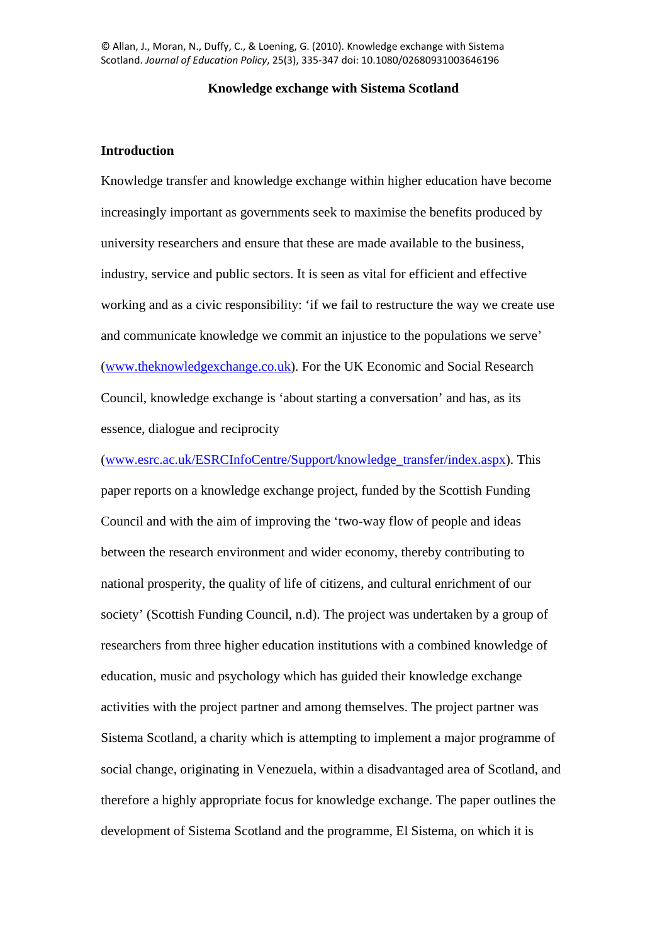© Allan, J., Moran, N., Duffy, C., & Loening, G. (2010). Knowledge exchange with Sistema Scotland. *Journal of Education Policy*, 25(3), 335-347 doi: 10.1080/02680931003646196

#### **Knowledge exchange with Sistema Scotland**

#### **Introduction**

Knowledge transfer and knowledge exchange within higher education have become increasingly important as governments seek to maximise the benefits produced by university researchers and ensure that these are made available to the business, industry, service and public sectors. It is seen as vital for efficient and effective working and as a civic responsibility: 'if we fail to restructure the way we create use and communicate knowledge we commit an injustice to the populations we serve' [\(www.theknowledgexchange.co.uk\)](http://www.theknowledgexchange.co.uk/). For the UK Economic and Social Research Council, knowledge exchange is 'about starting a conversation' and has, as its essence, dialogue and reciprocity

[\(www.esrc.ac.uk/ESRCInfoCentre/Support/knowledge\\_transfer/index.aspx\)](http://www.esrc.ac.uk/ESRCInfoCentre/Support/knowledge_transfer/index.aspx). This paper reports on a knowledge exchange project, funded by the Scottish Funding Council and with the aim of improving the 'two-way flow of people and ideas between the research environment and wider economy, thereby contributing to national prosperity, the quality of life of citizens, and cultural enrichment of our society' (Scottish Funding Council, n.d). The project was undertaken by a group of researchers from three higher education institutions with a combined knowledge of education, music and psychology which has guided their knowledge exchange activities with the project partner and among themselves. The project partner was Sistema Scotland, a charity which is attempting to implement a major programme of social change, originating in Venezuela, within a disadvantaged area of Scotland, and therefore a highly appropriate focus for knowledge exchange. The paper outlines the development of Sistema Scotland and the programme, El Sistema, on which it is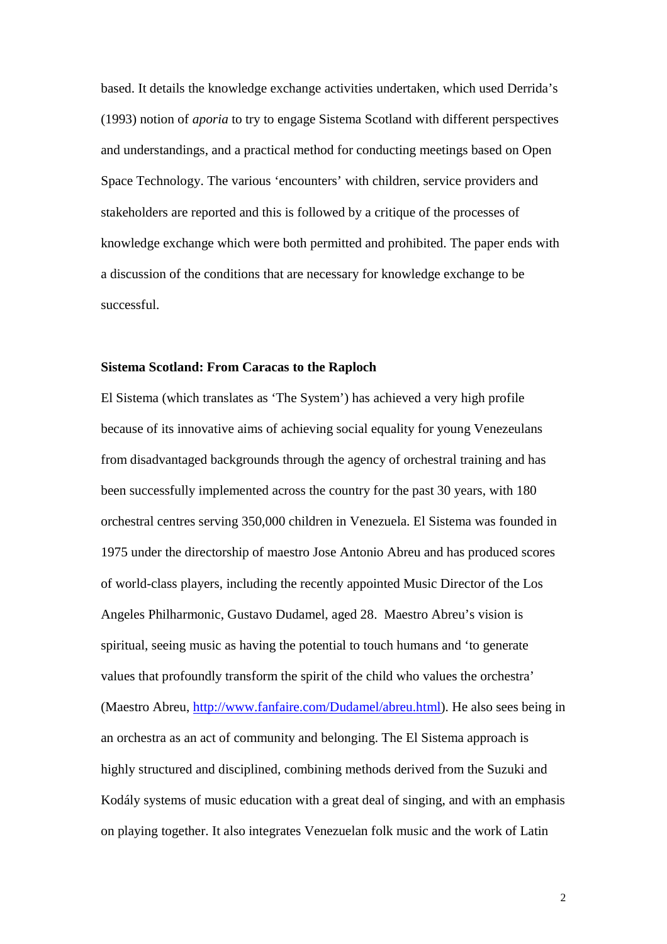based. It details the knowledge exchange activities undertaken, which used Derrida's (1993) notion of *aporia* to try to engage Sistema Scotland with different perspectives and understandings, and a practical method for conducting meetings based on Open Space Technology. The various 'encounters' with children, service providers and stakeholders are reported and this is followed by a critique of the processes of knowledge exchange which were both permitted and prohibited. The paper ends with a discussion of the conditions that are necessary for knowledge exchange to be successful.

#### **Sistema Scotland: From Caracas to the Raploch**

El Sistema (which translates as 'The System') has achieved a very high profile because of its innovative aims of achieving social equality for young Venezeulans from disadvantaged backgrounds through the agency of orchestral training and has been successfully implemented across the country for the past 30 years, with 180 orchestral centres serving 350,000 children in Venezuela. El Sistema was founded in 1975 under the directorship of maestro Jose Antonio Abreu and has produced scores of world-class players, including the recently appointed Music Director of the Los Angeles Philharmonic, Gustavo Dudamel, aged 28. Maestro Abreu's vision is spiritual, seeing music as having the potential to touch humans and 'to generate values that profoundly transform the spirit of the child who values the orchestra' (Maestro Abreu, [http://www.fanfaire.com/Dudamel/abreu.html\)](http://www.fanfaire.com/Dudamel/abreu.html). He also sees being in an orchestra as an act of community and belonging. The El Sistema approach is highly structured and disciplined, combining methods derived from the Suzuki and Kodály systems of music education with a great deal of singing, and with an emphasis on playing together. It also integrates Venezuelan folk music and the work of Latin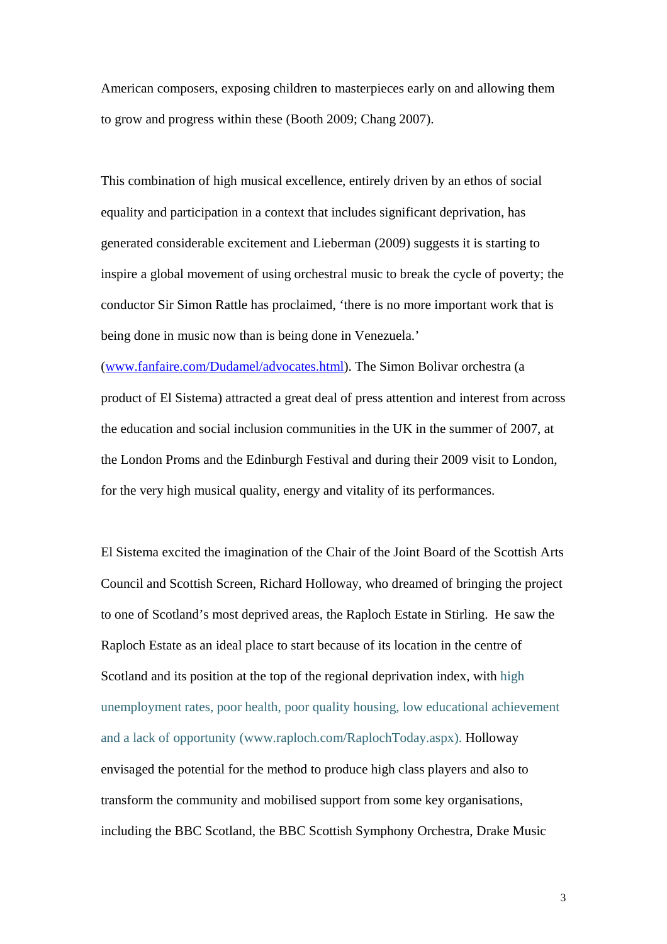American composers, exposing children to masterpieces early on and allowing them to grow and progress within these (Booth 2009; Chang 2007).

This combination of high musical excellence, entirely driven by an ethos of social equality and participation in a context that includes significant deprivation, has generated considerable excitement and Lieberman (2009) suggests it is starting to inspire a global movement of using orchestral music to break the cycle of poverty; the conductor Sir Simon Rattle has proclaimed, 'there is no more important work that is being done in music now than is being done in Venezuela.'

[\(www.fanfaire.com/Dudamel/advocates.html\)](http://www.fanfaire.com/Dudamel/advocates.html). The Simon Bolivar orchestra (a product of El Sistema) attracted a great deal of press attention and interest from across the education and social inclusion communities in the UK in the summer of 2007, at the London Proms and the Edinburgh Festival and during their 2009 visit to London, for the very high musical quality, energy and vitality of its performances.

El Sistema excited the imagination of the Chair of the Joint Board of the Scottish Arts Council and Scottish Screen, Richard Holloway, who dreamed of bringing the project to one of Scotland's most deprived areas, the Raploch Estate in Stirling. He saw the Raploch Estate as an ideal place to start because of its location in the centre of Scotland and its position at the top of the regional deprivation index, with high unemployment rates, poor health, poor quality housing, low educational achievement and a lack of opportunity (www.raploch.com/RaplochToday.aspx). Holloway envisaged the potential for the method to produce high class players and also to transform the community and mobilised support from some key organisations, including the BBC Scotland, the BBC Scottish Symphony Orchestra, Drake Music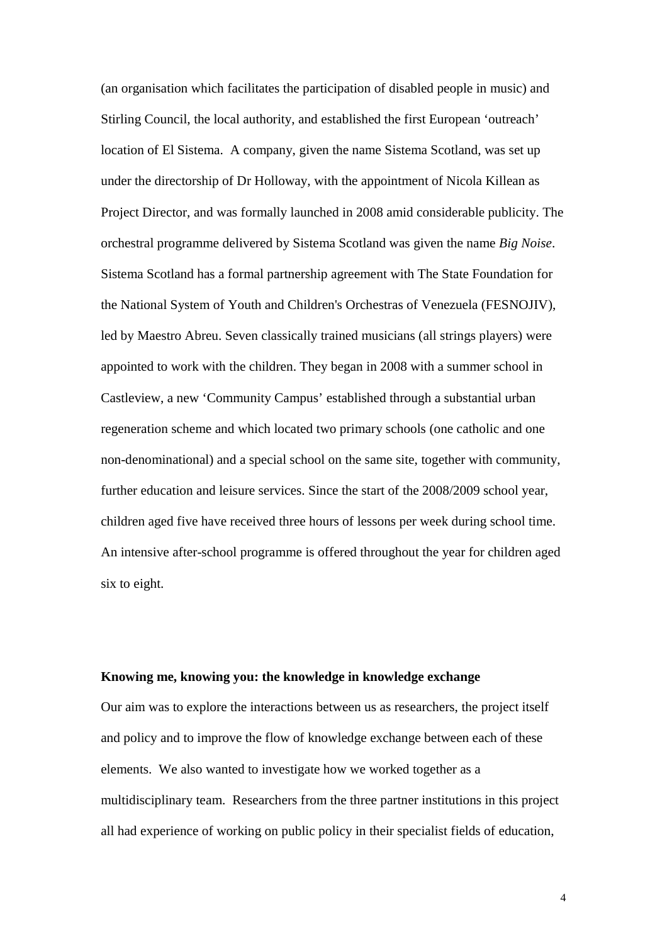(an organisation which facilitates the participation of disabled people in music) and Stirling Council, the local authority, and established the first European 'outreach' location of El Sistema. A company, given the name Sistema Scotland, was set up under the directorship of Dr Holloway, with the appointment of Nicola Killean as Project Director, and was formally launched in 2008 amid considerable publicity. The orchestral programme delivered by Sistema Scotland was given the name *Big Noise*. Sistema Scotland has a formal partnership agreement with The State Foundation for the National System of Youth and Children's Orchestras of Venezuela (FESNOJIV), led by Maestro Abreu. Seven classically trained musicians (all strings players) were appointed to work with the children. They began in 2008 with a summer school in Castleview, a new 'Community Campus' established through a substantial urban regeneration scheme and which located two primary schools (one catholic and one non-denominational) and a special school on the same site, together with community, further education and leisure services. Since the start of the 2008/2009 school year, children aged five have received three hours of lessons per week during school time. An intensive after-school programme is offered throughout the year for children aged six to eight.

#### **Knowing me, knowing you: the knowledge in knowledge exchange**

Our aim was to explore the interactions between us as researchers, the project itself and policy and to improve the flow of knowledge exchange between each of these elements. We also wanted to investigate how we worked together as a multidisciplinary team. Researchers from the three partner institutions in this project all had experience of working on public policy in their specialist fields of education,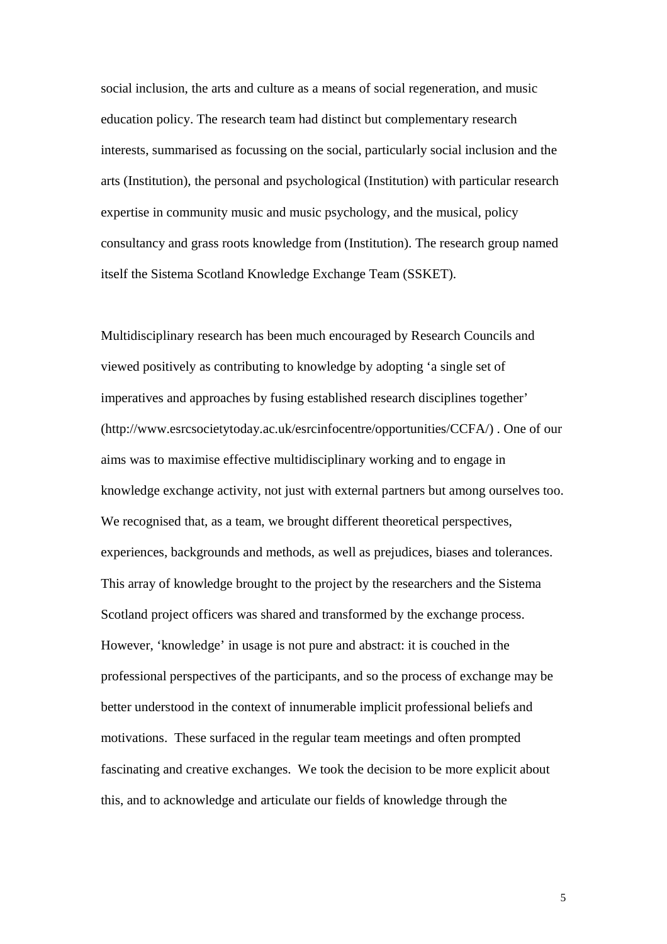social inclusion, the arts and culture as a means of social regeneration, and music education policy. The research team had distinct but complementary research interests, summarised as focussing on the social, particularly social inclusion and the arts (Institution), the personal and psychological (Institution) with particular research expertise in community music and music psychology, and the musical, policy consultancy and grass roots knowledge from (Institution). The research group named itself the Sistema Scotland Knowledge Exchange Team (SSKET).

Multidisciplinary research has been much encouraged by Research Councils and viewed positively as contributing to knowledge by adopting 'a single set of imperatives and approaches by fusing established research disciplines together' (http://www.esrcsocietytoday.ac.uk/esrcinfocentre/opportunities/CCFA/) . One of our aims was to maximise effective multidisciplinary working and to engage in knowledge exchange activity, not just with external partners but among ourselves too. We recognised that, as a team, we brought different theoretical perspectives, experiences, backgrounds and methods, as well as prejudices, biases and tolerances. This array of knowledge brought to the project by the researchers and the Sistema Scotland project officers was shared and transformed by the exchange process. However, 'knowledge' in usage is not pure and abstract: it is couched in the professional perspectives of the participants, and so the process of exchange may be better understood in the context of innumerable implicit professional beliefs and motivations. These surfaced in the regular team meetings and often prompted fascinating and creative exchanges. We took the decision to be more explicit about this, and to acknowledge and articulate our fields of knowledge through the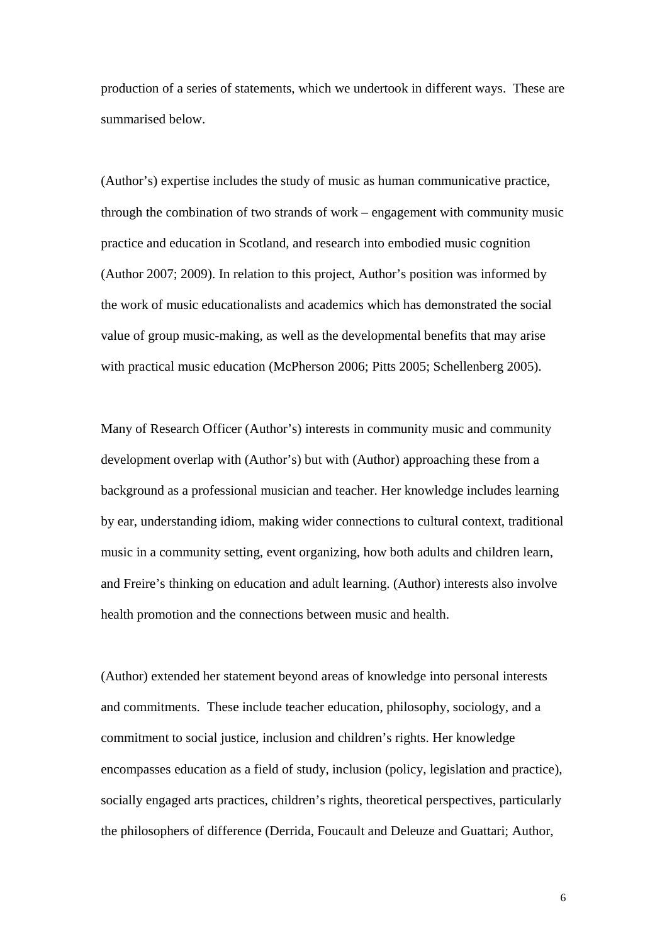production of a series of statements, which we undertook in different ways. These are summarised below.

(Author's) expertise includes the study of music as human communicative practice, through the combination of two strands of work – engagement with community music practice and education in Scotland, and research into embodied music cognition (Author 2007; 2009). In relation to this project, Author's position was informed by the work of music educationalists and academics which has demonstrated the social value of group music-making, as well as the developmental benefits that may arise with practical music education (McPherson 2006; Pitts 2005; Schellenberg 2005).

Many of Research Officer (Author's) interests in community music and community development overlap with (Author's) but with (Author) approaching these from a background as a professional musician and teacher. Her knowledge includes learning by ear, understanding idiom, making wider connections to cultural context, traditional music in a community setting, event organizing, how both adults and children learn, and Freire's thinking on education and adult learning. (Author) interests also involve health promotion and the connections between music and health.

(Author) extended her statement beyond areas of knowledge into personal interests and commitments. These include teacher education, philosophy, sociology, and a commitment to social justice, inclusion and children's rights. Her knowledge encompasses education as a field of study, inclusion (policy, legislation and practice), socially engaged arts practices, children's rights, theoretical perspectives, particularly the philosophers of difference (Derrida, Foucault and Deleuze and Guattari; Author,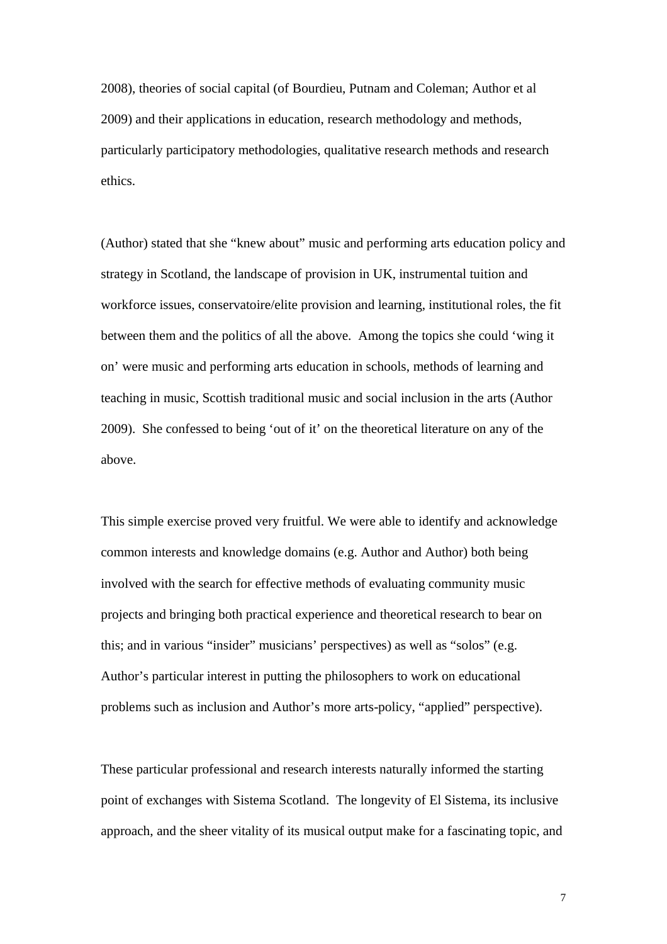2008), theories of social capital (of Bourdieu, Putnam and Coleman; Author et al 2009) and their applications in education, research methodology and methods, particularly participatory methodologies, qualitative research methods and research ethics.

(Author) stated that she "knew about" music and performing arts education policy and strategy in Scotland, the landscape of provision in UK, instrumental tuition and workforce issues, conservatoire/elite provision and learning, institutional roles, the fit between them and the politics of all the above. Among the topics she could 'wing it on' were music and performing arts education in schools, methods of learning and teaching in music, Scottish traditional music and social inclusion in the arts (Author 2009). She confessed to being 'out of it' on the theoretical literature on any of the above.

This simple exercise proved very fruitful. We were able to identify and acknowledge common interests and knowledge domains (e.g. Author and Author) both being involved with the search for effective methods of evaluating community music projects and bringing both practical experience and theoretical research to bear on this; and in various "insider" musicians' perspectives) as well as "solos" (e.g. Author's particular interest in putting the philosophers to work on educational problems such as inclusion and Author's more arts-policy, "applied" perspective).

These particular professional and research interests naturally informed the starting point of exchanges with Sistema Scotland. The longevity of El Sistema, its inclusive approach, and the sheer vitality of its musical output make for a fascinating topic, and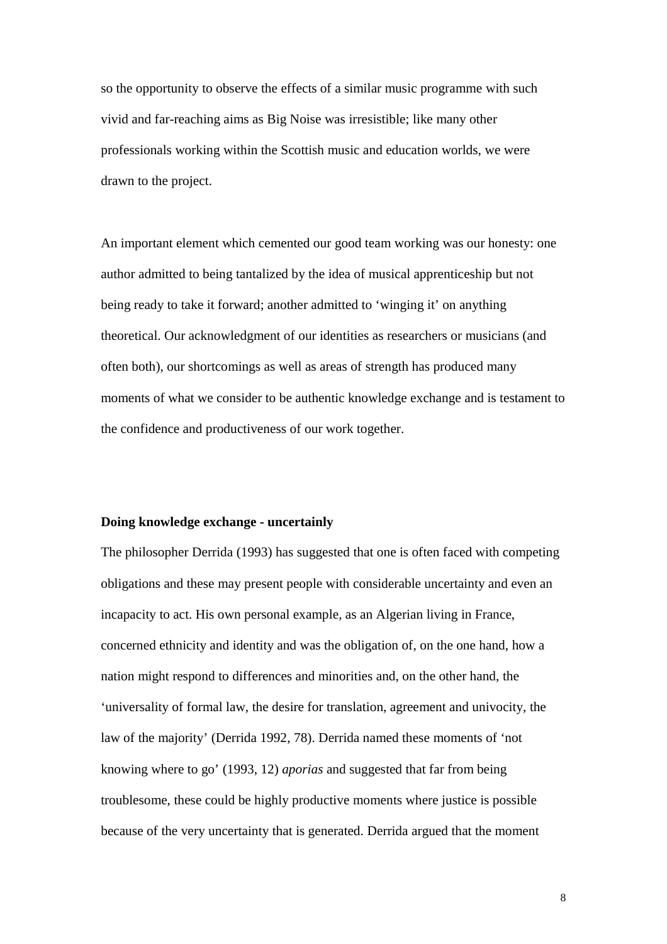so the opportunity to observe the effects of a similar music programme with such vivid and far-reaching aims as Big Noise was irresistible; like many other professionals working within the Scottish music and education worlds, we were drawn to the project.

An important element which cemented our good team working was our honesty: one author admitted to being tantalized by the idea of musical apprenticeship but not being ready to take it forward; another admitted to 'winging it' on anything theoretical. Our acknowledgment of our identities as researchers or musicians (and often both), our shortcomings as well as areas of strength has produced many moments of what we consider to be authentic knowledge exchange and is testament to the confidence and productiveness of our work together.

#### **Doing knowledge exchange - uncertainly**

The philosopher Derrida (1993) has suggested that one is often faced with competing obligations and these may present people with considerable uncertainty and even an incapacity to act. His own personal example, as an Algerian living in France, concerned ethnicity and identity and was the obligation of, on the one hand, how a nation might respond to differences and minorities and, on the other hand, the 'universality of formal law, the desire for translation, agreement and univocity, the law of the majority' (Derrida 1992, 78). Derrida named these moments of 'not knowing where to go' (1993, 12) *aporias* and suggested that far from being troublesome, these could be highly productive moments where justice is possible because of the very uncertainty that is generated. Derrida argued that the moment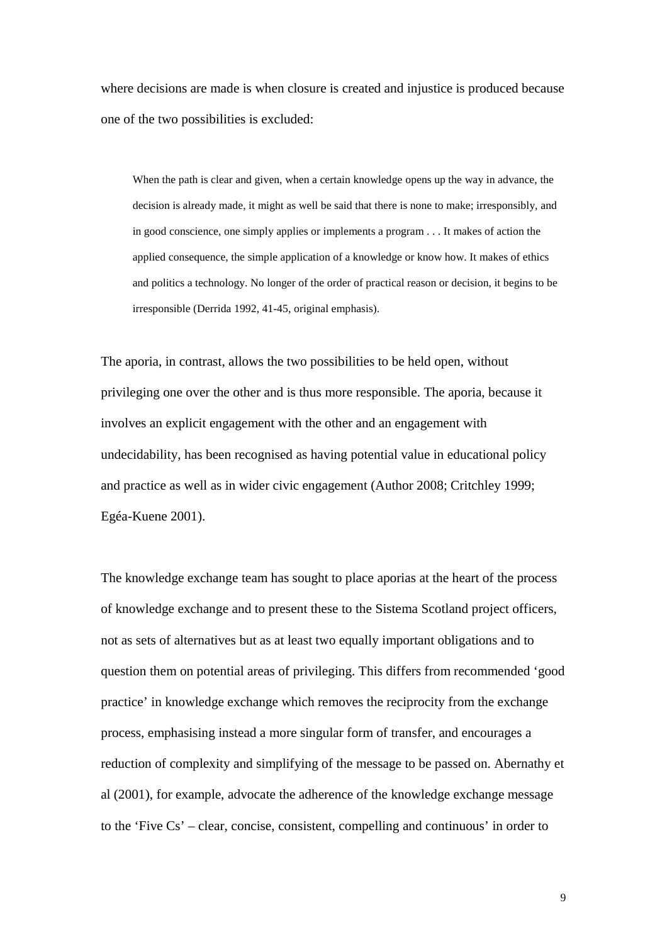where decisions are made is when closure is created and injustice is produced because one of the two possibilities is excluded:

When the path is clear and given, when a certain knowledge opens up the way in advance, the decision is already made, it might as well be said that there is none to make; irresponsibly, and in good conscience, one simply applies or implements a program . . . It makes of action the applied consequence, the simple application of a knowledge or know how. It makes of ethics and politics a technology. No longer of the order of practical reason or decision, it begins to be irresponsible (Derrida 1992, 41-45, original emphasis).

The aporia, in contrast, allows the two possibilities to be held open, without privileging one over the other and is thus more responsible. The aporia, because it involves an explicit engagement with the other and an engagement with undecidability, has been recognised as having potential value in educational policy and practice as well as in wider civic engagement (Author 2008; Critchley 1999; Egéa-Kuene 2001).

The knowledge exchange team has sought to place aporias at the heart of the process of knowledge exchange and to present these to the Sistema Scotland project officers, not as sets of alternatives but as at least two equally important obligations and to question them on potential areas of privileging. This differs from recommended 'good practice' in knowledge exchange which removes the reciprocity from the exchange process, emphasising instead a more singular form of transfer, and encourages a reduction of complexity and simplifying of the message to be passed on. Abernathy et al (2001), for example, advocate the adherence of the knowledge exchange message to the 'Five Cs' – clear, concise, consistent, compelling and continuous' in order to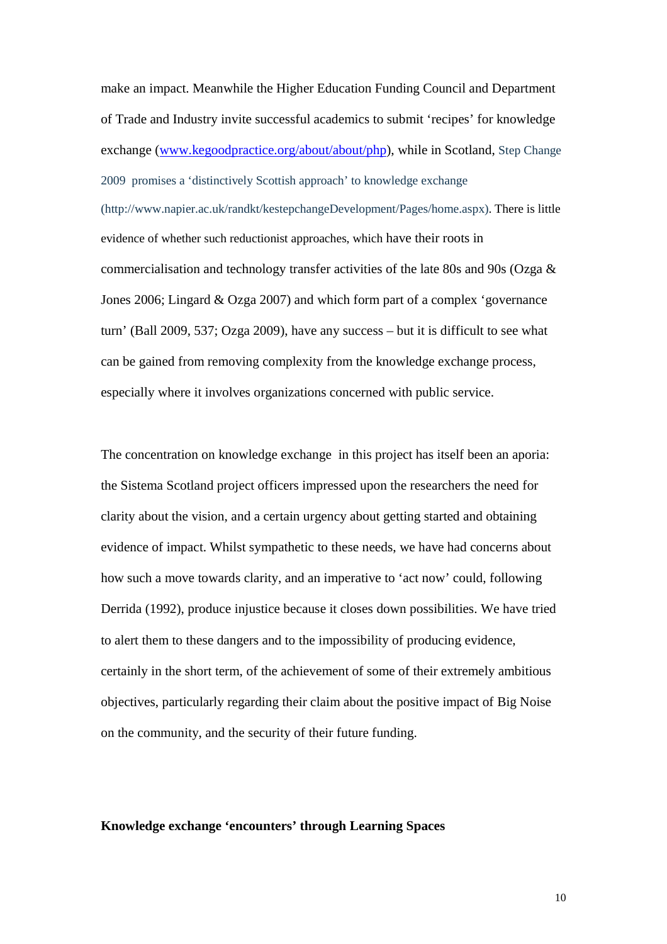make an impact. Meanwhile the Higher Education Funding Council and Department of Trade and Industry invite successful academics to submit 'recipes' for knowledge exchange [\(www.kegoodpractice.org/about/about/php\)](http://www.kegoodpractice.org/about/about/php), while in Scotland, Step Change 2009 promises a 'distinctively Scottish approach' to knowledge exchange (http://www.napier.ac.uk/randkt/kestepchangeDevelopment/Pages/home.aspx). There is little evidence of whether such reductionist approaches, which have their roots in commercialisation and technology transfer activities of the late 80s and 90s (Ozga & Jones 2006; Lingard & Ozga 2007) and which form part of a complex 'governance turn' (Ball 2009, 537; Ozga 2009), have any success – but it is difficult to see what can be gained from removing complexity from the knowledge exchange process, especially where it involves organizations concerned with public service.

The concentration on knowledge exchange in this project has itself been an aporia: the Sistema Scotland project officers impressed upon the researchers the need for clarity about the vision, and a certain urgency about getting started and obtaining evidence of impact. Whilst sympathetic to these needs, we have had concerns about how such a move towards clarity, and an imperative to 'act now' could, following Derrida (1992), produce injustice because it closes down possibilities. We have tried to alert them to these dangers and to the impossibility of producing evidence, certainly in the short term, of the achievement of some of their extremely ambitious objectives, particularly regarding their claim about the positive impact of Big Noise on the community, and the security of their future funding.

#### **Knowledge exchange 'encounters' through Learning Spaces**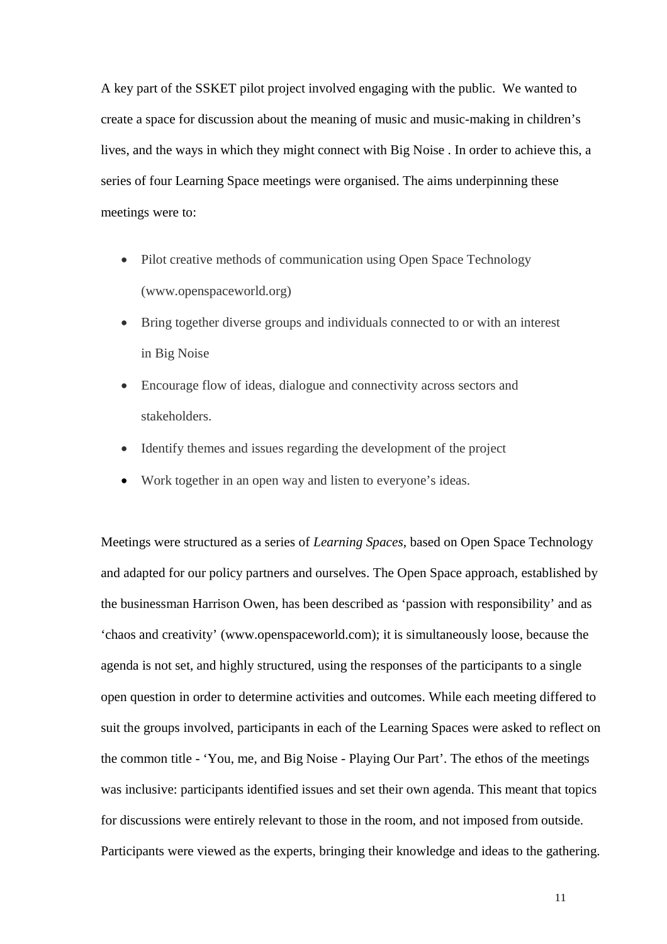A key part of the SSKET pilot project involved engaging with the public. We wanted to create a space for discussion about the meaning of music and music-making in children's lives, and the ways in which they might connect with Big Noise . In order to achieve this, a series of four Learning Space meetings were organised. The aims underpinning these meetings were to:

- Pilot creative methods of communication using Open Space Technology (www.openspaceworld.org)
- Bring together diverse groups and individuals connected to or with an interest in Big Noise
- Encourage flow of ideas, dialogue and connectivity across sectors and stakeholders.
- Identify themes and issues regarding the development of the project
- Work together in an open way and listen to everyone's ideas.

Meetings were structured as a series of *Learning Spaces*, based on Open Space Technology and adapted for our policy partners and ourselves. The Open Space approach, established by the businessman Harrison Owen, has been described as 'passion with responsibility' and as 'chaos and creativity' (www.openspaceworld.com); it is simultaneously loose, because the agenda is not set, and highly structured, using the responses of the participants to a single open question in order to determine activities and outcomes. While each meeting differed to suit the groups involved, participants in each of the Learning Spaces were asked to reflect on the common title - 'You, me, and Big Noise - Playing Our Part'. The ethos of the meetings was inclusive: participants identified issues and set their own agenda. This meant that topics for discussions were entirely relevant to those in the room, and not imposed from outside. Participants were viewed as the experts, bringing their knowledge and ideas to the gathering.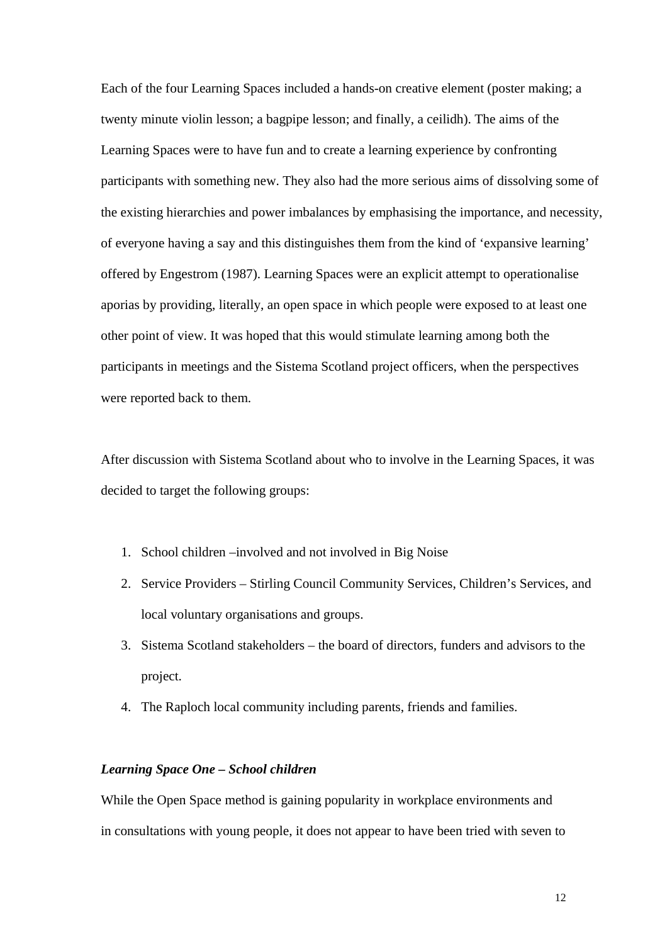Each of the four Learning Spaces included a hands-on creative element (poster making; a twenty minute violin lesson; a bagpipe lesson; and finally, a ceilidh). The aims of the Learning Spaces were to have fun and to create a learning experience by confronting participants with something new. They also had the more serious aims of dissolving some of the existing hierarchies and power imbalances by emphasising the importance, and necessity, of everyone having a say and this distinguishes them from the kind of 'expansive learning' offered by Engestrom (1987). Learning Spaces were an explicit attempt to operationalise aporias by providing, literally, an open space in which people were exposed to at least one other point of view. It was hoped that this would stimulate learning among both the participants in meetings and the Sistema Scotland project officers, when the perspectives were reported back to them.

After discussion with Sistema Scotland about who to involve in the Learning Spaces, it was decided to target the following groups:

- 1. School children –involved and not involved in Big Noise
- 2. Service Providers Stirling Council Community Services, Children's Services, and local voluntary organisations and groups.
- 3. Sistema Scotland stakeholders the board of directors, funders and advisors to the project.
- 4. The Raploch local community including parents, friends and families.

#### *Learning Space One – School children*

While the Open Space method is gaining popularity in workplace environments and in consultations with young people, it does not appear to have been tried with seven to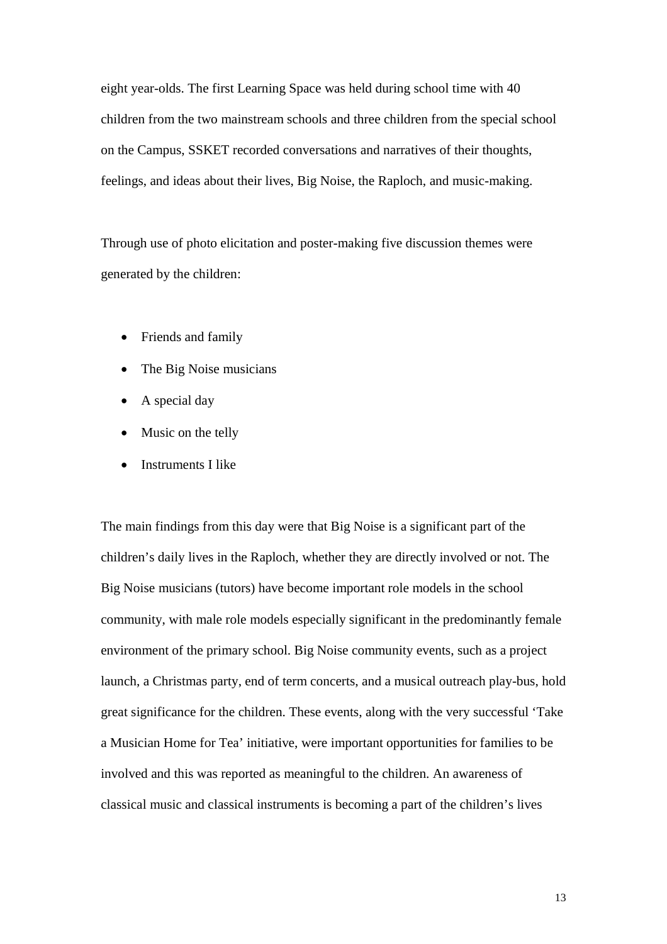eight year-olds. The first Learning Space was held during school time with 40 children from the two mainstream schools and three children from the special school on the Campus, SSKET recorded conversations and narratives of their thoughts, feelings, and ideas about their lives, Big Noise, the Raploch, and music-making.

Through use of photo elicitation and poster-making five discussion themes were generated by the children:

- Friends and family
- The Big Noise musicians
- A special day
- Music on the telly
- Instruments I like

The main findings from this day were that Big Noise is a significant part of the children's daily lives in the Raploch, whether they are directly involved or not. The Big Noise musicians (tutors) have become important role models in the school community, with male role models especially significant in the predominantly female environment of the primary school. Big Noise community events, such as a project launch, a Christmas party, end of term concerts, and a musical outreach play-bus, hold great significance for the children. These events, along with the very successful 'Take a Musician Home for Tea' initiative, were important opportunities for families to be involved and this was reported as meaningful to the children. An awareness of classical music and classical instruments is becoming a part of the children's lives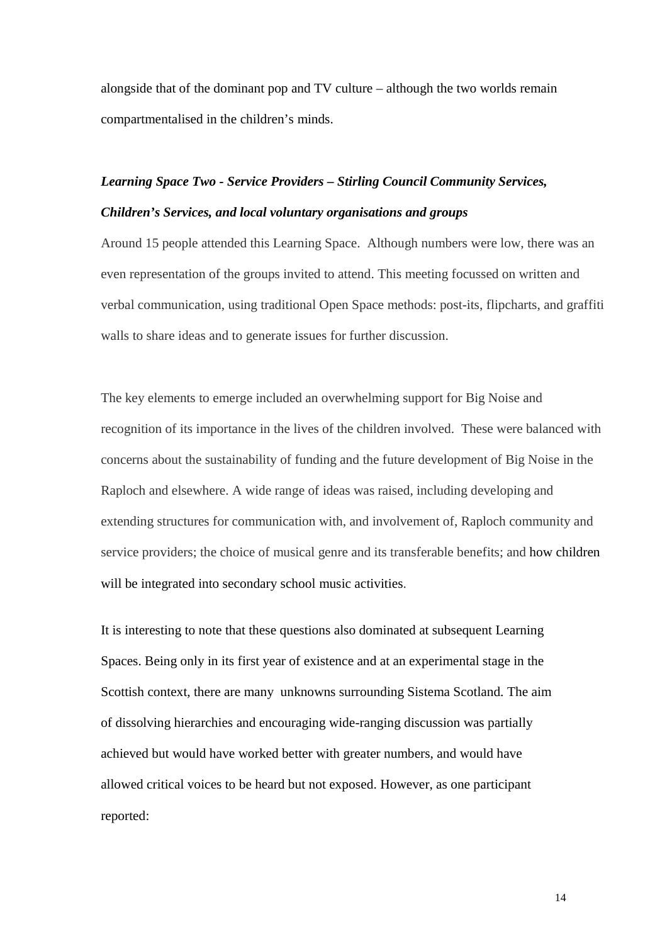alongside that of the dominant pop and TV culture – although the two worlds remain compartmentalised in the children's minds.

# *Learning Space Two - Service Providers – Stirling Council Community Services, Children's Services, and local voluntary organisations and groups*

Around 15 people attended this Learning Space. Although numbers were low, there was an even representation of the groups invited to attend. This meeting focussed on written and verbal communication, using traditional Open Space methods: post-its, flipcharts, and graffiti walls to share ideas and to generate issues for further discussion.

The key elements to emerge included an overwhelming support for Big Noise and recognition of its importance in the lives of the children involved. These were balanced with concerns about the sustainability of funding and the future development of Big Noise in the Raploch and elsewhere. A wide range of ideas was raised, including developing and extending structures for communication with, and involvement of, Raploch community and service providers; the choice of musical genre and its transferable benefits; and how children will be integrated into secondary school music activities.

It is interesting to note that these questions also dominated at subsequent Learning Spaces. Being only in its first year of existence and at an experimental stage in the Scottish context, there are many unknowns surrounding Sistema Scotland. The aim of dissolving hierarchies and encouraging wide-ranging discussion was partially achieved but would have worked better with greater numbers, and would have allowed critical voices to be heard but not exposed. However, as one participant reported: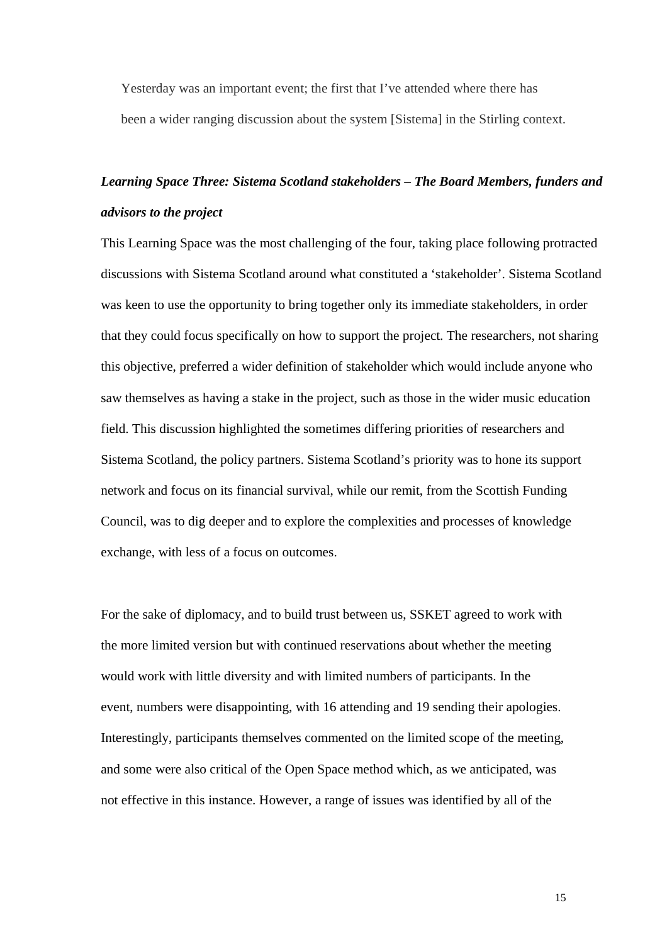Yesterday was an important event; the first that I've attended where there has been a wider ranging discussion about the system [Sistema] in the Stirling context.

## *Learning Space Three: Sistema Scotland stakeholders – The Board Members, funders and advisors to the project*

This Learning Space was the most challenging of the four, taking place following protracted discussions with Sistema Scotland around what constituted a 'stakeholder'. Sistema Scotland was keen to use the opportunity to bring together only its immediate stakeholders, in order that they could focus specifically on how to support the project. The researchers, not sharing this objective, preferred a wider definition of stakeholder which would include anyone who saw themselves as having a stake in the project, such as those in the wider music education field. This discussion highlighted the sometimes differing priorities of researchers and Sistema Scotland, the policy partners. Sistema Scotland's priority was to hone its support network and focus on its financial survival, while our remit, from the Scottish Funding Council, was to dig deeper and to explore the complexities and processes of knowledge exchange, with less of a focus on outcomes.

For the sake of diplomacy, and to build trust between us, SSKET agreed to work with the more limited version but with continued reservations about whether the meeting would work with little diversity and with limited numbers of participants. In the event, numbers were disappointing, with 16 attending and 19 sending their apologies. Interestingly, participants themselves commented on the limited scope of the meeting, and some were also critical of the Open Space method which, as we anticipated, was not effective in this instance. However, a range of issues was identified by all of the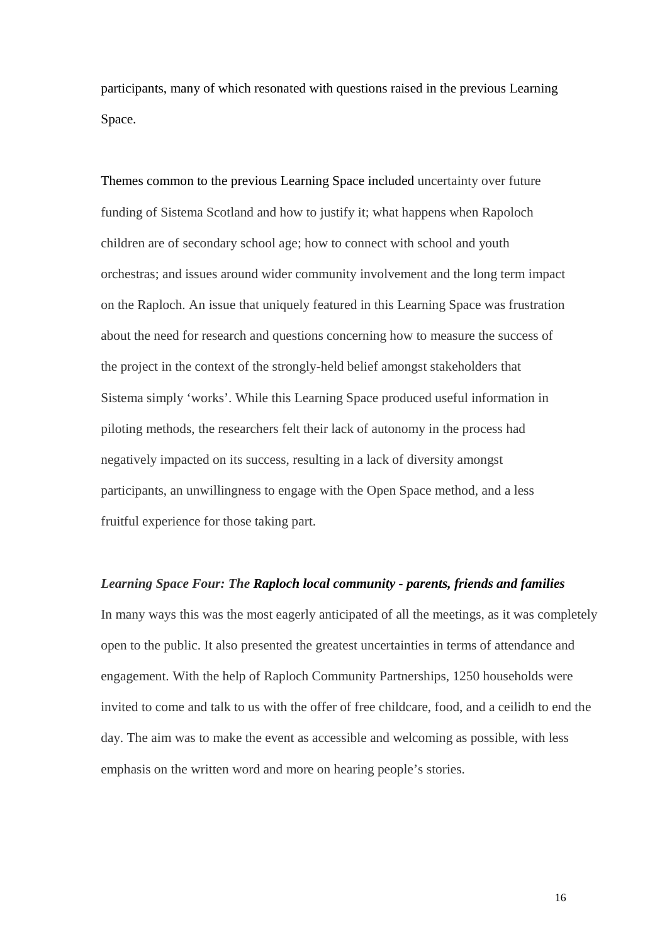participants, many of which resonated with questions raised in the previous Learning Space.

Themes common to the previous Learning Space included uncertainty over future funding of Sistema Scotland and how to justify it; what happens when Rapoloch children are of secondary school age; how to connect with school and youth orchestras; and issues around wider community involvement and the long term impact on the Raploch. An issue that uniquely featured in this Learning Space was frustration about the need for research and questions concerning how to measure the success of the project in the context of the strongly-held belief amongst stakeholders that Sistema simply 'works'. While this Learning Space produced useful information in piloting methods, the researchers felt their lack of autonomy in the process had negatively impacted on its success, resulting in a lack of diversity amongst participants, an unwillingness to engage with the Open Space method, and a less fruitful experience for those taking part.

*Learning Space Four: The Raploch local community - parents, friends and families*  In many ways this was the most eagerly anticipated of all the meetings, as it was completely open to the public. It also presented the greatest uncertainties in terms of attendance and engagement. With the help of Raploch Community Partnerships, 1250 households were invited to come and talk to us with the offer of free childcare, food, and a ceilidh to end the day. The aim was to make the event as accessible and welcoming as possible, with less emphasis on the written word and more on hearing people's stories.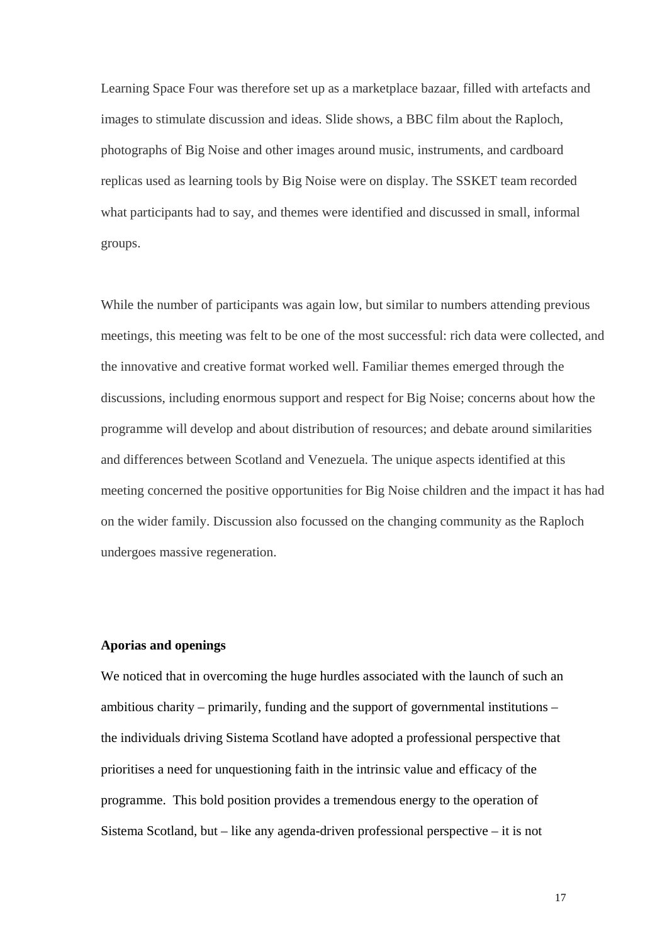Learning Space Four was therefore set up as a marketplace bazaar, filled with artefacts and images to stimulate discussion and ideas. Slide shows, a BBC film about the Raploch, photographs of Big Noise and other images around music, instruments, and cardboard replicas used as learning tools by Big Noise were on display. The SSKET team recorded what participants had to say, and themes were identified and discussed in small, informal groups.

While the number of participants was again low, but similar to numbers attending previous meetings, this meeting was felt to be one of the most successful: rich data were collected, and the innovative and creative format worked well. Familiar themes emerged through the discussions, including enormous support and respect for Big Noise; concerns about how the programme will develop and about distribution of resources; and debate around similarities and differences between Scotland and Venezuela. The unique aspects identified at this meeting concerned the positive opportunities for Big Noise children and the impact it has had on the wider family. Discussion also focussed on the changing community as the Raploch undergoes massive regeneration.

#### **Aporias and openings**

We noticed that in overcoming the huge hurdles associated with the launch of such an ambitious charity – primarily, funding and the support of governmental institutions – the individuals driving Sistema Scotland have adopted a professional perspective that prioritises a need for unquestioning faith in the intrinsic value and efficacy of the programme. This bold position provides a tremendous energy to the operation of Sistema Scotland, but – like any agenda-driven professional perspective – it is not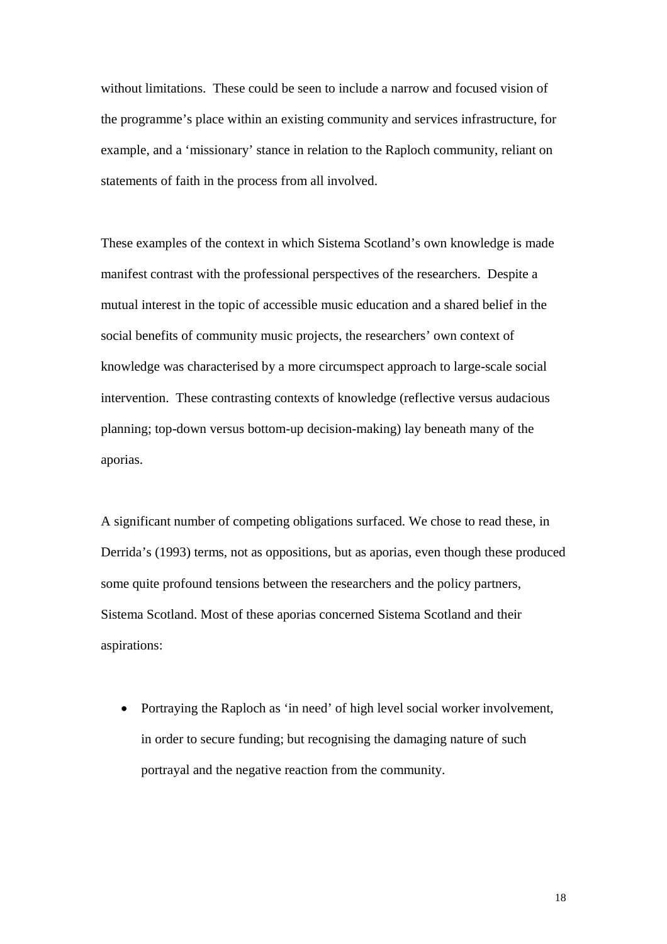without limitations. These could be seen to include a narrow and focused vision of the programme's place within an existing community and services infrastructure, for example, and a 'missionary' stance in relation to the Raploch community, reliant on statements of faith in the process from all involved.

These examples of the context in which Sistema Scotland's own knowledge is made manifest contrast with the professional perspectives of the researchers. Despite a mutual interest in the topic of accessible music education and a shared belief in the social benefits of community music projects, the researchers' own context of knowledge was characterised by a more circumspect approach to large-scale social intervention. These contrasting contexts of knowledge (reflective versus audacious planning; top-down versus bottom-up decision-making) lay beneath many of the aporias.

A significant number of competing obligations surfaced. We chose to read these, in Derrida's (1993) terms, not as oppositions, but as aporias, even though these produced some quite profound tensions between the researchers and the policy partners, Sistema Scotland. Most of these aporias concerned Sistema Scotland and their aspirations:

• Portraying the Raploch as 'in need' of high level social worker involvement, in order to secure funding; but recognising the damaging nature of such portrayal and the negative reaction from the community.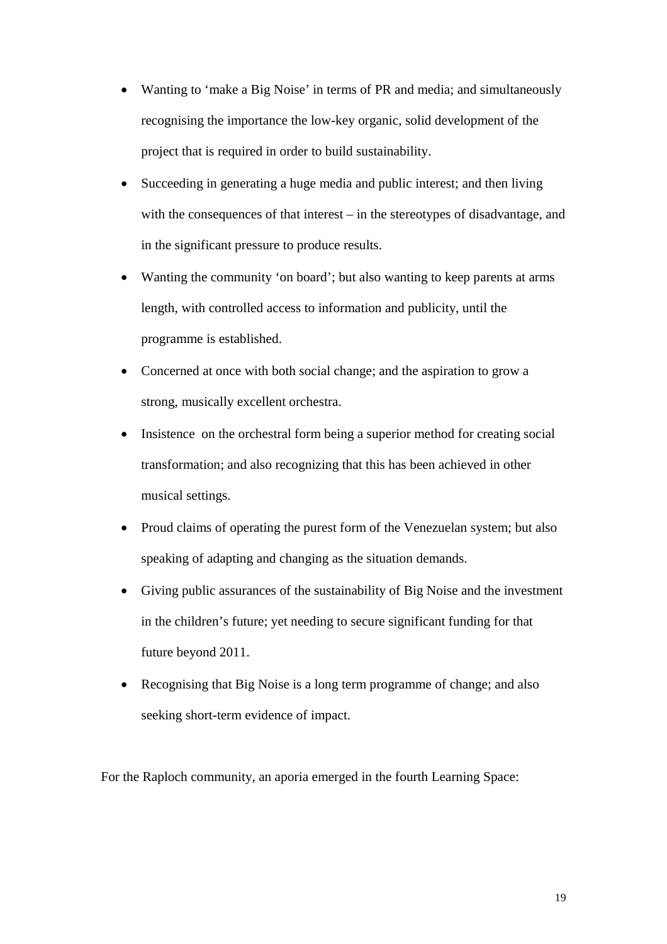- Wanting to 'make a Big Noise' in terms of PR and media; and simultaneously recognising the importance the low-key organic, solid development of the project that is required in order to build sustainability.
- Succeeding in generating a huge media and public interest; and then living with the consequences of that interest – in the stereotypes of disadvantage, and in the significant pressure to produce results.
- Wanting the community 'on board'; but also wanting to keep parents at arms length, with controlled access to information and publicity, until the programme is established.
- Concerned at once with both social change; and the aspiration to grow a strong, musically excellent orchestra.
- Insistence on the orchestral form being a superior method for creating social transformation; and also recognizing that this has been achieved in other musical settings.
- Proud claims of operating the purest form of the Venezuelan system; but also speaking of adapting and changing as the situation demands.
- Giving public assurances of the sustainability of Big Noise and the investment in the children's future; yet needing to secure significant funding for that future beyond 2011.
- Recognising that Big Noise is a long term programme of change; and also seeking short-term evidence of impact.

For the Raploch community, an aporia emerged in the fourth Learning Space: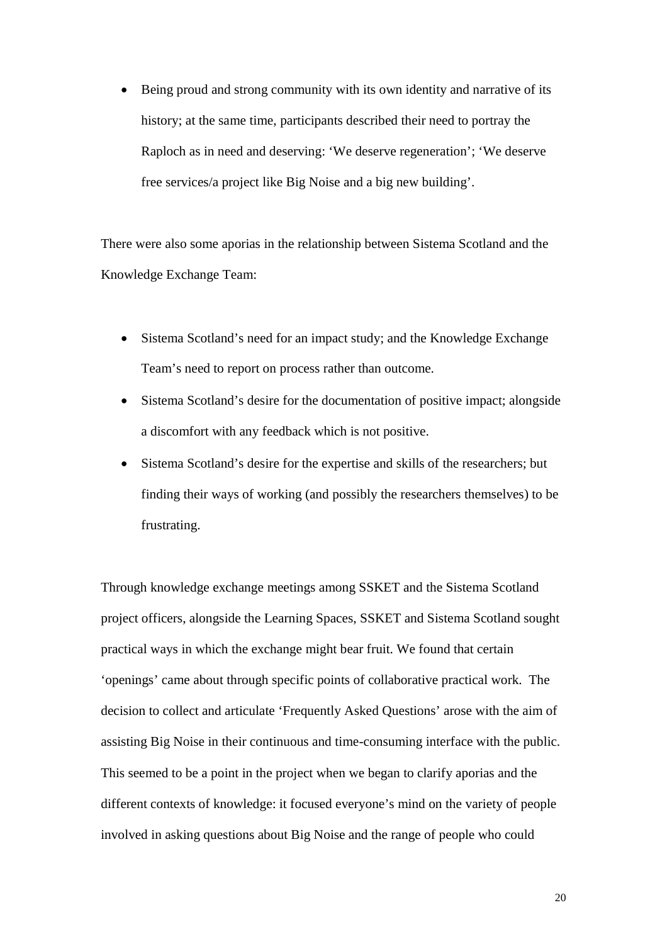• Being proud and strong community with its own identity and narrative of its history; at the same time, participants described their need to portray the Raploch as in need and deserving: 'We deserve regeneration'; 'We deserve free services/a project like Big Noise and a big new building'.

There were also some aporias in the relationship between Sistema Scotland and the Knowledge Exchange Team:

- Sistema Scotland's need for an impact study; and the Knowledge Exchange Team's need to report on process rather than outcome.
- Sistema Scotland's desire for the documentation of positive impact; alongside a discomfort with any feedback which is not positive.
- Sistema Scotland's desire for the expertise and skills of the researchers; but finding their ways of working (and possibly the researchers themselves) to be frustrating.

Through knowledge exchange meetings among SSKET and the Sistema Scotland project officers, alongside the Learning Spaces, SSKET and Sistema Scotland sought practical ways in which the exchange might bear fruit. We found that certain 'openings' came about through specific points of collaborative practical work. The decision to collect and articulate 'Frequently Asked Questions' arose with the aim of assisting Big Noise in their continuous and time-consuming interface with the public. This seemed to be a point in the project when we began to clarify aporias and the different contexts of knowledge: it focused everyone's mind on the variety of people involved in asking questions about Big Noise and the range of people who could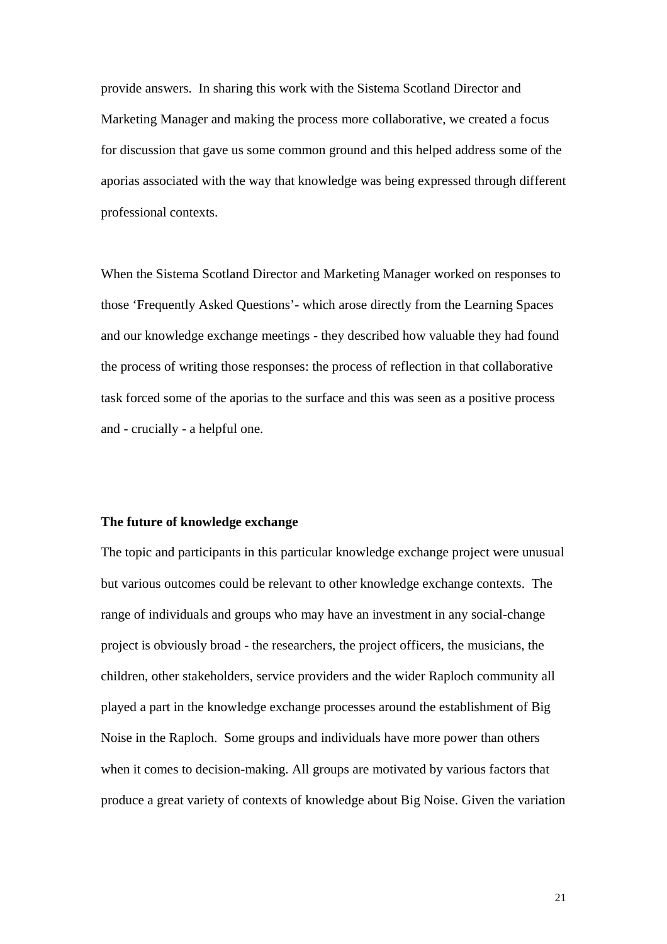provide answers. In sharing this work with the Sistema Scotland Director and Marketing Manager and making the process more collaborative, we created a focus for discussion that gave us some common ground and this helped address some of the aporias associated with the way that knowledge was being expressed through different professional contexts.

When the Sistema Scotland Director and Marketing Manager worked on responses to those 'Frequently Asked Questions'- which arose directly from the Learning Spaces and our knowledge exchange meetings - they described how valuable they had found the process of writing those responses: the process of reflection in that collaborative task forced some of the aporias to the surface and this was seen as a positive process and - crucially - a helpful one.

#### **The future of knowledge exchange**

The topic and participants in this particular knowledge exchange project were unusual but various outcomes could be relevant to other knowledge exchange contexts. The range of individuals and groups who may have an investment in any social-change project is obviously broad - the researchers, the project officers, the musicians, the children, other stakeholders, service providers and the wider Raploch community all played a part in the knowledge exchange processes around the establishment of Big Noise in the Raploch. Some groups and individuals have more power than others when it comes to decision-making. All groups are motivated by various factors that produce a great variety of contexts of knowledge about Big Noise. Given the variation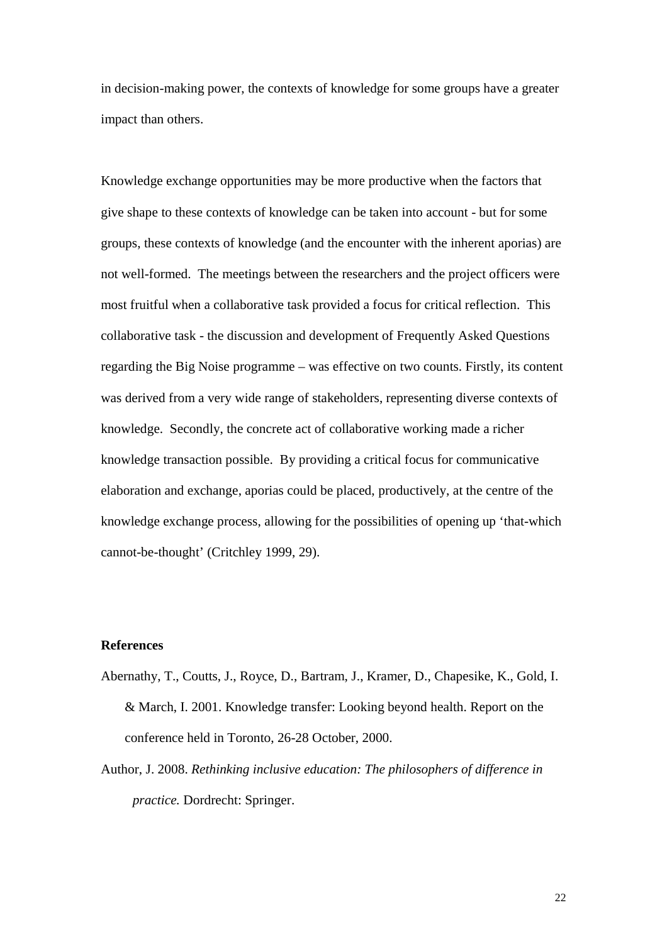in decision-making power, the contexts of knowledge for some groups have a greater impact than others.

Knowledge exchange opportunities may be more productive when the factors that give shape to these contexts of knowledge can be taken into account - but for some groups, these contexts of knowledge (and the encounter with the inherent aporias) are not well-formed. The meetings between the researchers and the project officers were most fruitful when a collaborative task provided a focus for critical reflection. This collaborative task - the discussion and development of Frequently Asked Questions regarding the Big Noise programme – was effective on two counts. Firstly, its content was derived from a very wide range of stakeholders, representing diverse contexts of knowledge. Secondly, the concrete act of collaborative working made a richer knowledge transaction possible. By providing a critical focus for communicative elaboration and exchange, aporias could be placed, productively, at the centre of the knowledge exchange process, allowing for the possibilities of opening up 'that-which cannot-be-thought' (Critchley 1999, 29).

#### **References**

- Abernathy, T., Coutts, J., Royce, D., Bartram, J., Kramer, D., Chapesike, K., Gold, I. & March, I. 2001. Knowledge transfer: Looking beyond health. Report on the conference held in Toronto, 26-28 October, 2000.
- Author, J. 2008. *Rethinking inclusive education: The philosophers of difference in practice.* Dordrecht: Springer.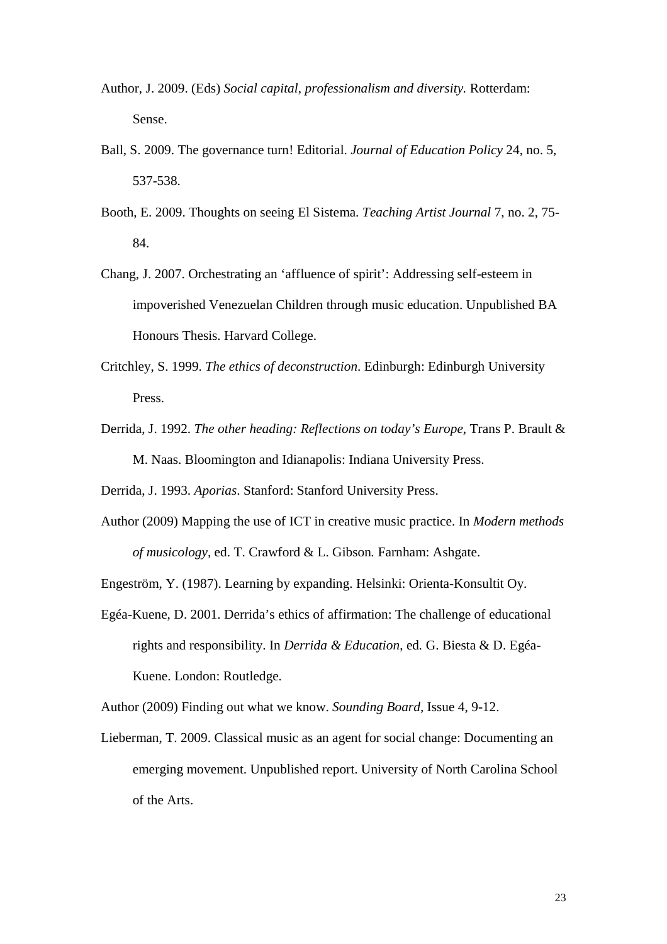- Author, J. 2009. (Eds) *Social capital, professionalism and diversity.* Rotterdam: Sense.
- Ball, S. 2009. The governance turn! Editorial. *Journal of Education Policy* 24, no. 5, 537-538.
- Booth, E. 2009. Thoughts on seeing El Sistema. *Teaching Artist Journal* 7, no. 2, 75- 84.
- Chang, J. 2007. Orchestrating an 'affluence of spirit': Addressing self-esteem in impoverished Venezuelan Children through music education. Unpublished BA Honours Thesis. Harvard College.
- Critchley, S. 1999. *The ethics of deconstruction*. Edinburgh: Edinburgh University Press.
- Derrida, J. 1992. *The other heading: Reflections on today's Europe*, Trans P. Brault & M. Naas. Bloomington and Idianapolis: Indiana University Press.

Derrida, J. 1993. *Aporias*. Stanford: Stanford University Press.

Author (2009) Mapping the use of ICT in creative music practice. In *Modern methods of musicology,* ed. T. Crawford & L. Gibson*.* Farnham: Ashgate.

Engeström, Y. (1987). Learning by expanding. Helsinki: Orienta-Konsultit Oy.

Egéa-Kuene, D. 2001. Derrida's ethics of affirmation: The challenge of educational rights and responsibility. In *Derrida & Education*, ed*.* G. Biesta & D. Egéa-Kuene. London: Routledge.

Author (2009) Finding out what we know. *Sounding Board,* Issue 4, 9-12.

Lieberman, T. 2009. Classical music as an agent for social change: Documenting an emerging movement. Unpublished report. University of North Carolina School of the Arts.